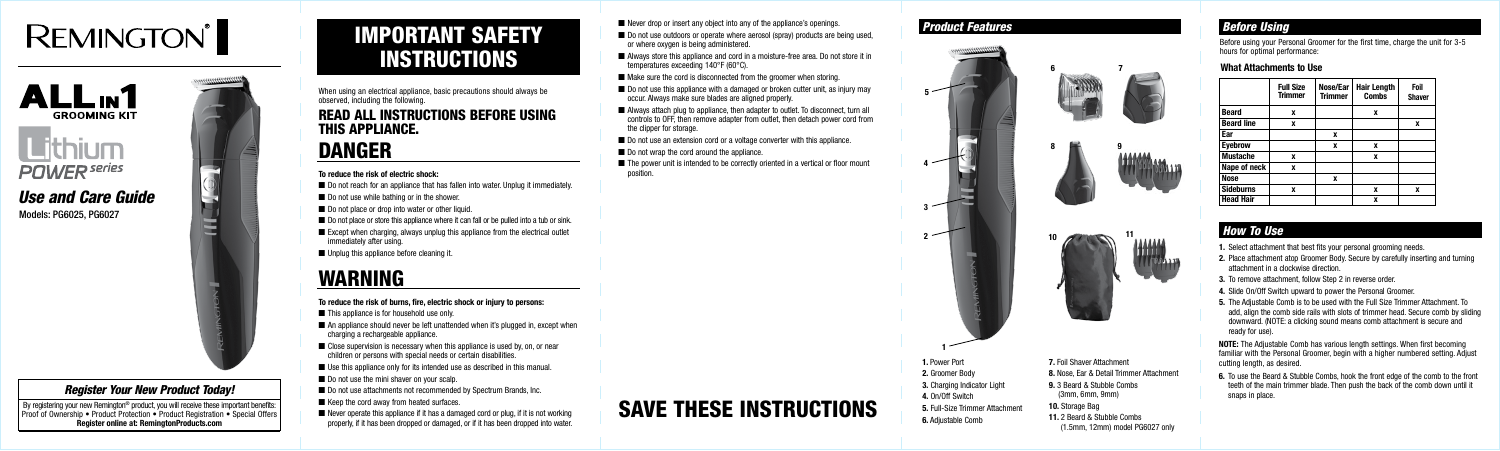# **REMINGTON**



# **Lithium POWER** series

# **What Attachments to Use**

# IMPORTANT SAFETY INSTRUCTIONS

When using an electrical appliance, basic precautions should always be observed, including the following.

# READ ALL INSTRUCTIONS BEFORE USING THIS APPLIANCE.

# DANGER

### **To reduce the risk of electric shock:**

- Do not reach for an appliance that has fallen into water. Unplug it immediately.
- Do not use while bathing or in the shower.
- Do not place or drop into water or other liquid.
- Do not place or store this appliance where it can fall or be pulled into a tub or sink.
- $\blacksquare$  Except when charging, always unplug this appliance from the electrical outlet immediately after using.
- Unplug this appliance before cleaning it.

# WARNING

### **To reduce the risk of burns, fire, electric shock or injury to persons:**

- $\blacksquare$  This appliance is for household use only.
- An appliance should never be left unattended when it's plugged in, except when charging a rechargeable appliance.
- Close supervision is necessary when this appliance is used by, on, or near children or persons with special needs or certain disabilities.
- Use this appliance only for its intended use as described in this manual.
- Do not use the mini shaver on your scalp.
- Do not use attachments not recommended by Spectrum Brands, Inc.
- Keep the cord away from heated surfaces.
- Never operate this appliance if it has a damaged cord or plug, if it is not working properly, if it has been dropped or damaged, or if it has been dropped into water.
- Never drop or insert any object into any of the appliance's openings.
- Do not use outdoors or operate where aerosol (spray) products are being used, or where oxygen is being administered.
- Always store this appliance and cord in a moisture-free area. Do not store it in temperatures exceeding 140°F (60°C).
- Make sure the cord is disconnected from the groomer when storing.
- Do not use this appliance with a damaged or broken cutter unit, as injury may occur. Always make sure blades are aligned properly.
- Always attach plug to appliance, then adapter to outlet. To disconnect, turn all controls to OFF, then remove adapter from outlet, then detach power cord from the clipper for storage.
- Do not use an extension cord or a voltage converter with this appliance.
- Do not wrap the cord around the appliance.
- $\blacksquare$  The power unit is intended to be correctly oriented in a vertical or floor mount position.

By registering your new Remington® product, you will receive these important benefits: Proof of Ownership • Product Protection • Product Registration • Special Offers **Register online at: RemingtonProducts.com**

**NOTE:** The Adjustable Comb has various length settings. When first becoming familiar with the Personal Groomer, begin with a higher numbered setting. Adjust cutting length, as desired.

SAVE THESE INSTRUCTIONS

Before using your Personal Groomer for the first time, charge the unit for 3-5 hours for optimal performance:

# *Before Using*

# *Register Your New Product Today!*

Models: PG6025, PG6027



# *Use and Care Guide*

- **1.** Select attachment that best fits your personal grooming needs.
- **2.** Place attachment atop Groomer Body. Secure by carefully inserting and turning attachment in a clockwise direction.
- **3.** To remove attachment, follow Step 2 in reverse order.
- **4.** Slide On/Off Switch upward to power the Personal Groomer.
- **5.** The Adjustable Comb is to be used with the Full Size Trimmer Attachment. To add, align the comb side rails with slots of trimmer head. Secure comb by sliding downward. (NOTE: a clicking sound means comb attachment is secure and ready for use).

# *How To Use*

**6.** To use the Beard & Stubble Combs, hook the front edge of the comb to the front teeth of the main trimmer blade. Then push the back of the comb down until it snaps in place.

# *Product Features*

- **1.** Power Port
- **2.** Groomer Body
- **3.** Charging Indicator Light
- **4.** On/Off Switch
- **5.** Full-Size Trimmer Attachment
- **6.** Adjustable Comb
- **7.** Foil Shaver Attachment
- **8.** Nose, Ear & Detail Trimmer Attachment
- **9.** 3 Beard & Stubble Combs (3mm, 6mm, 9mm)
- **10.** Storage Bag
- **11.** 2 Beard & Stubble Combs
- (1.5mm, 12mm) model PG6027 only

**2**

**4**

**3**

|  |   |   |                   | <b>Full Size</b><br><b>Trimmer</b> | Nose/Ear<br><b>Trimmer</b> | <b>Hair Length</b><br><b>Combs</b> | Foil<br><b>Shaver</b> |
|--|---|---|-------------------|------------------------------------|----------------------------|------------------------------------|-----------------------|
|  |   |   | <b>Beard</b>      | x                                  |                            | x                                  |                       |
|  |   |   | <b>Beard line</b> | x                                  |                            |                                    | x                     |
|  | 8 | м | Ear               |                                    | x                          |                                    |                       |
|  |   |   | <b>Eyebrow</b>    |                                    | x                          | x                                  |                       |
|  |   |   | <b>Mustache</b>   | x                                  |                            | X                                  |                       |
|  |   |   | Nape of neck      | X                                  |                            |                                    |                       |
|  |   |   | <b>Nose</b>       |                                    | X                          |                                    |                       |
|  |   |   | <b>Sideburns</b>  | x                                  |                            | X                                  | x                     |
|  |   |   | <b>Head Hair</b>  |                                    |                            | x                                  |                       |